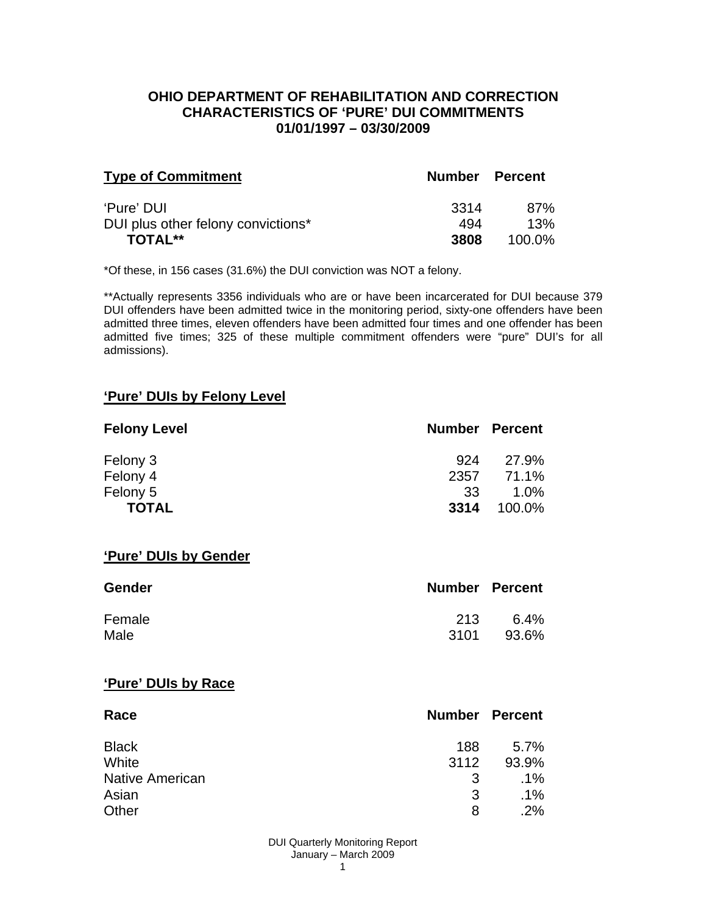#### **OHIO DEPARTMENT OF REHABILITATION AND CORRECTION CHARACTERISTICS OF 'PURE' DUI COMMITMENTS 01/01/1997 – 03/30/2009**

| <b>Type of Commitment</b>          | Number Percent |           |
|------------------------------------|----------------|-----------|
| 'Pure' DUI                         | 3314           | 87%       |
| DUI plus other felony convictions* | 494            | 13%       |
| <b>TOTAL**</b>                     | 3808           | $100.0\%$ |

\*Of these, in 156 cases (31.6%) the DUI conviction was NOT a felony.

\*\*Actually represents 3356 individuals who are or have been incarcerated for DUI because 379 DUI offenders have been admitted twice in the monitoring period, sixty-one offenders have been admitted three times, eleven offenders have been admitted four times and one offender has been admitted five times; 325 of these multiple commitment offenders were "pure" DUI's for all admissions).

#### **'Pure' DUIs by Felony Level**

| <b>Felony Level</b> | <b>Number Percent</b> |        |
|---------------------|-----------------------|--------|
| Felony 3            | 924                   | 27.9%  |
| Felony 4            | 2357                  | 71.1%  |
| Felony 5            | 33                    | 1.0%   |
| <b>TOTAL</b>        | 3314                  | 100.0% |

#### **'Pure' DUIs by Gender**

| <b>Gender</b> | <b>Number Percent</b> |       |
|---------------|-----------------------|-------|
| Female        | 213                   | 6.4%  |
| Male          | -3101                 | 93.6% |

#### **'Pure' DUIs by Race**

| Race                   | <b>Number Percent</b> |         |
|------------------------|-----------------------|---------|
| <b>Black</b>           | 188                   | $5.7\%$ |
| White                  | 3112                  | 93.9%   |
| <b>Native American</b> | 3                     | $.1\%$  |
| Asian                  | 3                     | $.1\%$  |
| Other                  | 8                     | $.2\%$  |

DUI Quarterly Monitoring Report January – March 2009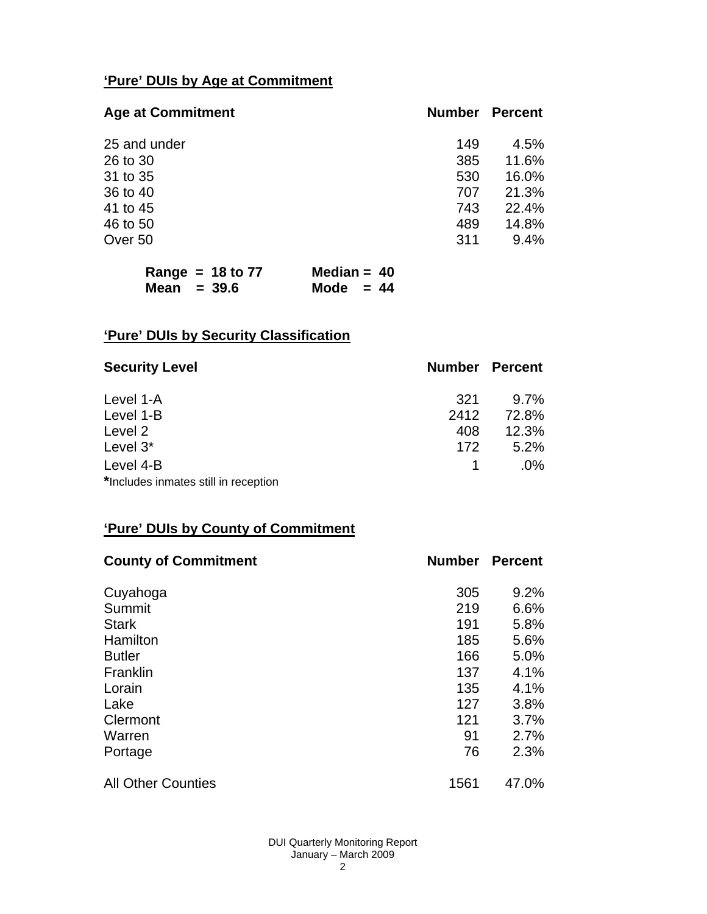## **'Pure' DUIs by Age at Commitment**

| <b>Age at Commitment</b> | <b>Number</b> | <b>Percent</b> |
|--------------------------|---------------|----------------|
| 25 and under             | 149           | 4.5%           |
| 26 to 30                 | 385           | 11.6%          |
| 31 to 35                 | 530           | 16.0%          |
| 36 to 40                 | 707           | 21.3%          |
| 41 to 45                 | 743           | 22.4%          |
| 46 to 50                 | 489           | 14.8%          |
| Over 50                  | 311           | 9.4%           |

|               | Range = $18$ to 77 | Median = $40$ |  |
|---------------|--------------------|---------------|--|
| Mean $= 39.6$ |                    | Mode $= 44$   |  |

# **'Pure' DUIs by Security Classification**

| <b>Security Level</b>                | <b>Number Percent</b> |         |
|--------------------------------------|-----------------------|---------|
| Level 1-A                            | 321                   | $9.7\%$ |
| Level 1-B                            | 2412                  | 72.8%   |
| Level 2                              | 408                   | 12.3%   |
| Level 3*                             | 172                   | 5.2%    |
| Level 4-B                            |                       | $.0\%$  |
| *Includes inmates still in reception |                       |         |

## **'Pure' DUIs by County of Commitment**

| <b>County of Commitment</b> | <b>Number</b> | <b>Percent</b> |
|-----------------------------|---------------|----------------|
| Cuyahoga                    | 305           | 9.2%           |
| Summit                      | 219           | 6.6%           |
| <b>Stark</b>                | 191           | 5.8%           |
| Hamilton                    | 185           | 5.6%           |
| <b>Butler</b>               | 166           | 5.0%           |
| Franklin                    | 137           | 4.1%           |
| Lorain                      | 135           | 4.1%           |
| Lake                        | 127           | 3.8%           |
| Clermont                    | 121           | 3.7%           |
| Warren                      | 91            | 2.7%           |
| Portage                     | 76            | 2.3%           |
| <b>All Other Counties</b>   | 1561          | 47.0%          |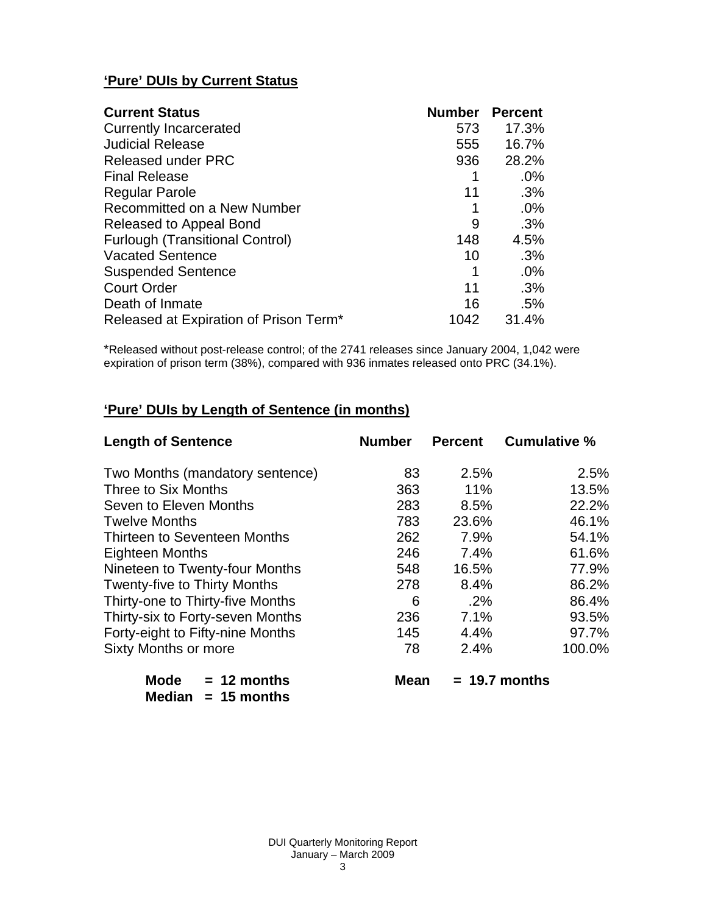## **'Pure' DUIs by Current Status**

| <b>Current Status</b>                  | <b>Number</b> | <b>Percent</b> |
|----------------------------------------|---------------|----------------|
| <b>Currently Incarcerated</b>          | 573           | 17.3%          |
| <b>Judicial Release</b>                | 555           | 16.7%          |
| <b>Released under PRC</b>              | 936           | 28.2%          |
| <b>Final Release</b>                   |               | $.0\%$         |
| <b>Regular Parole</b>                  | 11            | .3%            |
| Recommitted on a New Number            |               | .0%            |
| Released to Appeal Bond                | 9             | .3%            |
| <b>Furlough (Transitional Control)</b> | 148           | 4.5%           |
| <b>Vacated Sentence</b>                | 10            | .3%            |
| <b>Suspended Sentence</b>              | 1             | .0%            |
| <b>Court Order</b>                     | 11            | .3%            |
| Death of Inmate                        | 16            | .5%            |
| Released at Expiration of Prison Term* | 1042          | 31.4%          |

\*Released without post-release control; of the 2741 releases since January 2004, 1,042 were expiration of prison term (38%), compared with 936 inmates released onto PRC (34.1%).

# **'Pure' DUIs by Length of Sentence (in months)**

| <b>Length of Sentence</b>           | <b>Number</b> | <b>Percent</b> | <b>Cumulative %</b> |
|-------------------------------------|---------------|----------------|---------------------|
| Two Months (mandatory sentence)     | 83            | 2.5%           | 2.5%                |
| Three to Six Months                 | 363           | 11%            | 13.5%               |
| Seven to Eleven Months              | 283           | 8.5%           | 22.2%               |
| <b>Twelve Months</b>                | 783           | 23.6%          | 46.1%               |
| Thirteen to Seventeen Months        | 262           | 7.9%           | 54.1%               |
| <b>Eighteen Months</b>              | 246           | 7.4%           | 61.6%               |
| Nineteen to Twenty-four Months      | 548           | 16.5%          | 77.9%               |
| <b>Twenty-five to Thirty Months</b> | 278           | 8.4%           | 86.2%               |
| Thirty-one to Thirty-five Months    | 6             | $.2\%$         | 86.4%               |
| Thirty-six to Forty-seven Months    | 236           | 7.1%           | 93.5%               |
| Forty-eight to Fifty-nine Months    | 145           | 4.4%           | 97.7%               |
| <b>Sixty Months or more</b>         | 78            | 2.4%           | 100.0%              |
| <b>Mode</b><br>$= 12$ months        | Mean          |                | $= 19.7$ months     |

| Mode   | $= 12$ months |
|--------|---------------|
| Median | $= 15$ months |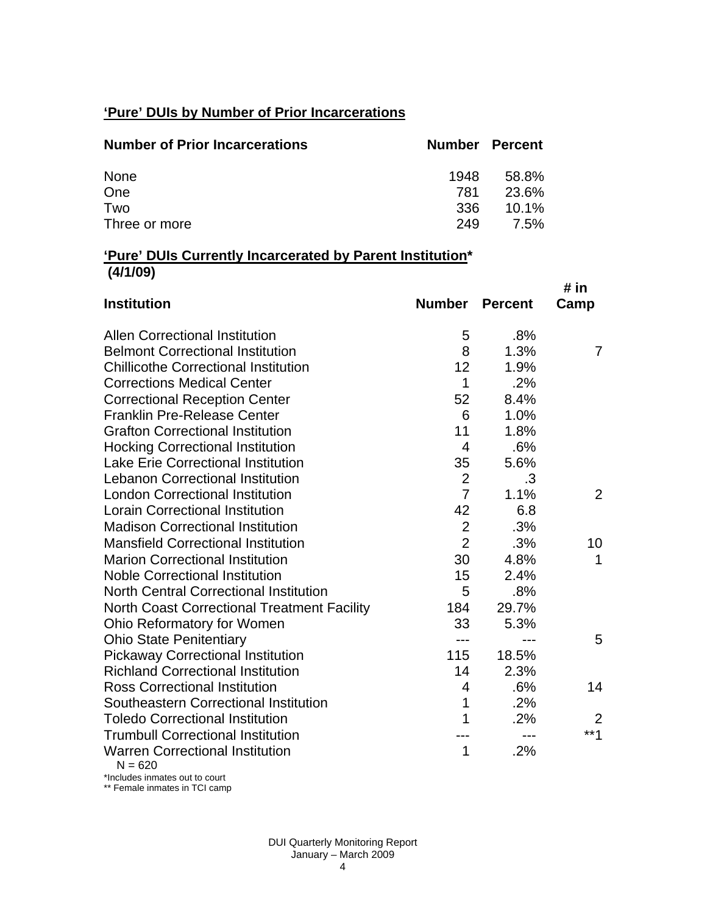## **'Pure' DUIs by Number of Prior Incarcerations**

| <b>Number of Prior Incarcerations</b> |      | <b>Number Percent</b> |
|---------------------------------------|------|-----------------------|
| None                                  | 1948 | 58.8%                 |
| One                                   | 781  | 23.6%                 |
| Two                                   | 336  | $10.1\%$              |
| Three or more                         | 249  | 7.5%                  |

#### **'Pure' DUIs Currently Incarcerated by Parent Institution\* (4/1/09)**

| <b>Institution</b>                                 | <b>Number</b>  | <b>Percent</b> | # in<br>Camp |
|----------------------------------------------------|----------------|----------------|--------------|
| <b>Allen Correctional Institution</b>              | 5              | .8%            |              |
| <b>Belmont Correctional Institution</b>            | 8              | 1.3%           | 7            |
| <b>Chillicothe Correctional Institution</b>        | 12             | 1.9%           |              |
| <b>Corrections Medical Center</b>                  | 1              | .2%            |              |
| <b>Correctional Reception Center</b>               | 52             | 8.4%           |              |
| <b>Franklin Pre-Release Center</b>                 | 6              | 1.0%           |              |
| <b>Grafton Correctional Institution</b>            | 11             | 1.8%           |              |
| <b>Hocking Correctional Institution</b>            | $\overline{4}$ | .6%            |              |
| <b>Lake Erie Correctional Institution</b>          | 35             | 5.6%           |              |
| <b>Lebanon Correctional Institution</b>            | $\overline{2}$ | .3             |              |
| <b>London Correctional Institution</b>             | $\overline{7}$ | 1.1%           | 2            |
| <b>Lorain Correctional Institution</b>             | 42             | 6.8            |              |
| <b>Madison Correctional Institution</b>            | $\overline{2}$ | .3%            |              |
| <b>Mansfield Correctional Institution</b>          | $\overline{2}$ | .3%            | 10           |
| <b>Marion Correctional Institution</b>             | 30             | 4.8%           | 1            |
| <b>Noble Correctional Institution</b>              | 15             | 2.4%           |              |
| <b>North Central Correctional Institution</b>      | 5              | .8%            |              |
| <b>North Coast Correctional Treatment Facility</b> | 184            | 29.7%          |              |
| Ohio Reformatory for Women                         | 33             | 5.3%           |              |
| <b>Ohio State Penitentiary</b>                     | ---            |                | 5            |
| <b>Pickaway Correctional Institution</b>           | 115            | 18.5%          |              |
| <b>Richland Correctional Institution</b>           | 14             | 2.3%           |              |
| <b>Ross Correctional Institution</b>               | 4              | .6%            | 14           |
| Southeastern Correctional Institution              | 1              | .2%            |              |
| <b>Toledo Correctional Institution</b>             | 1              | .2%            | 2            |
| <b>Trumbull Correctional Institution</b>           |                | $---$          | $***1$       |
| <b>Warren Correctional Institution</b><br>N = 620  | 1              | .2%            |              |

 $020$ 

\*Includes inmates out to court \*\* Female inmates in TCI camp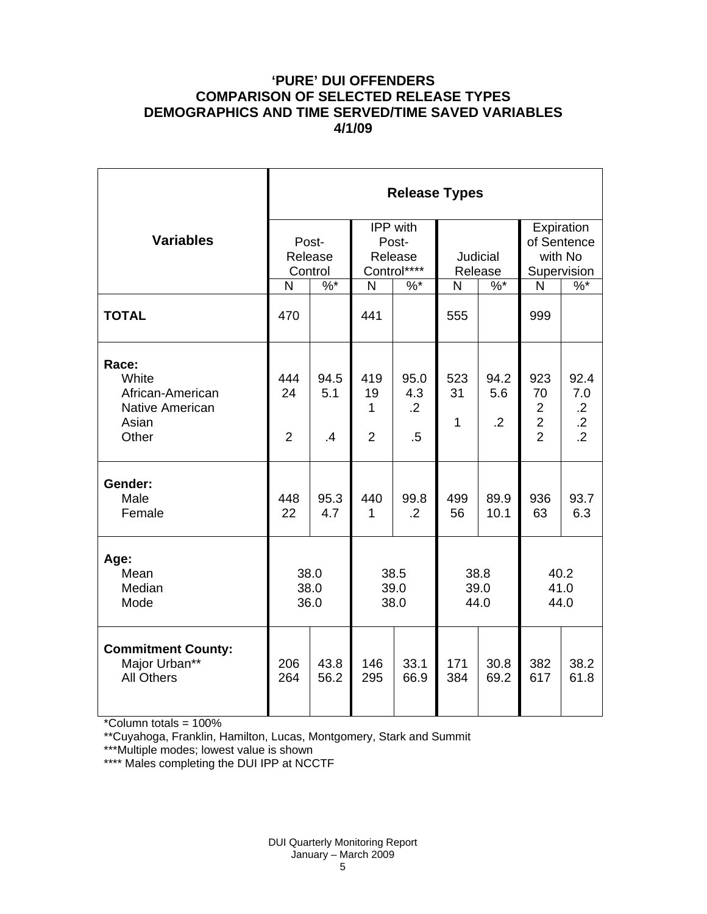#### **'PURE' DUI OFFENDERS COMPARISON OF SELECTED RELEASE TYPES DEMOGRAPHICS AND TIME SERVED/TIME SAVED VARIABLES 4/1/09**

|                                                                                | <b>Release Types</b>        |                             |                                  |                                             |                           |                               |                                                                 |                                                       |  |  |
|--------------------------------------------------------------------------------|-----------------------------|-----------------------------|----------------------------------|---------------------------------------------|---------------------------|-------------------------------|-----------------------------------------------------------------|-------------------------------------------------------|--|--|
| <b>Variables</b>                                                               |                             | Post-<br>Release<br>Control |                                  | IPP with<br>Post-<br>Release<br>Control**** | Judicial<br>Release       |                               | Expiration<br>of Sentence<br>with No<br>Supervision             |                                                       |  |  |
|                                                                                | N                           | $\%$ *                      | $\mathsf{N}$                     | $%^*$                                       | N                         | $%^*$                         | $\mathsf{N}$                                                    | $%^*$                                                 |  |  |
| <b>TOTAL</b>                                                                   | 470                         |                             | 441                              |                                             | 555                       |                               | 999                                                             |                                                       |  |  |
| Race:<br>White<br>African-American<br><b>Native American</b><br>Asian<br>Other | 444<br>24<br>$\overline{2}$ | 94.5<br>5.1<br>.4           | 419<br>19<br>1<br>$\overline{2}$ | 95.0<br>4.3<br>$\overline{.2}$<br>$.5\,$    | 523<br>31<br>$\mathbf{1}$ | 94.2<br>5.6<br>$\overline{2}$ | 923<br>70<br>$\overline{2}$<br>$\overline{2}$<br>$\overline{2}$ | 92.4<br>7.0<br>$\cdot$ .2<br>$.2\,$<br>$\overline{2}$ |  |  |
| Gender:<br>Male<br>Female                                                      | 448<br>22                   | 95.3<br>4.7                 | 440<br>1                         | 99.8<br>$\cdot$ .2                          | 499<br>56                 | 89.9<br>10.1                  | 936<br>63                                                       | 93.7<br>6.3                                           |  |  |
| Age:<br>Mean<br>Median<br>Mode                                                 | 38.0<br>38.0<br>36.0        |                             | 38.5<br>39.0<br>38.0             |                                             | 38.8<br>39.0<br>44.0      |                               | 40.2<br>41.0<br>44.0                                            |                                                       |  |  |
| <b>Commitment County:</b><br>Major Urban**<br><b>All Others</b>                | 206<br>264                  | 43.8<br>56.2                | 146<br>295                       | 33.1<br>66.9                                | 171<br>384                | 30.8<br>69.2                  | 382<br>617                                                      | 38.2<br>61.8                                          |  |  |

\*Column totals = 100%

\*\*Cuyahoga, Franklin, Hamilton, Lucas, Montgomery, Stark and Summit

\*\*\*Multiple modes; lowest value is shown

\*\*\*\* Males completing the DUI IPP at NCCTF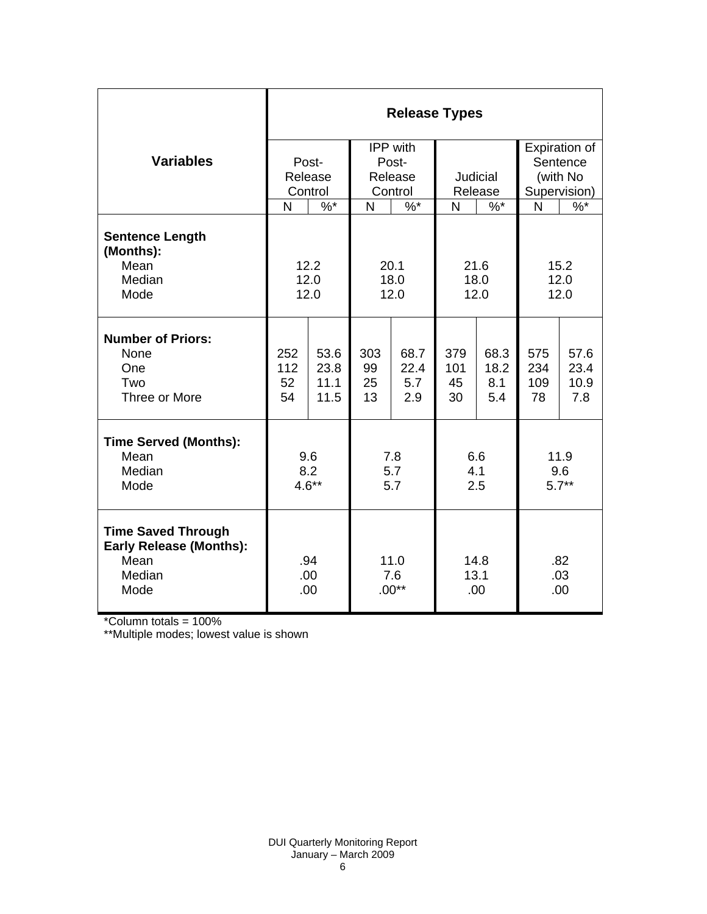|                                                                                       | <b>Release Types</b> |              |                        |              |                      |              |                   |              |  |  |
|---------------------------------------------------------------------------------------|----------------------|--------------|------------------------|--------------|----------------------|--------------|-------------------|--------------|--|--|
|                                                                                       |                      |              |                        | IPP with     |                      |              | Expiration of     |              |  |  |
| <b>Variables</b>                                                                      |                      | Post-        | Post-                  |              |                      |              | Sentence          |              |  |  |
|                                                                                       |                      | Release      | Release                |              | Judicial             |              | (with No          |              |  |  |
|                                                                                       |                      | Control      | Control                |              | Release              |              | Supervision)      |              |  |  |
|                                                                                       | N                    | $\%$ *       | N                      | $\%$ *       | N                    | $%$ *        | N                 | $\%$         |  |  |
| <b>Sentence Length</b><br>(Months):<br>Mean                                           |                      | 12.2         |                        |              |                      |              |                   |              |  |  |
| Median                                                                                |                      |              | 20.1<br>18.0           |              | 21.6<br>18.0         |              | 15.2<br>12.0      |              |  |  |
| Mode                                                                                  | 12.0<br>12.0         |              | 12.0                   |              | 12.0                 |              | 12.0              |              |  |  |
|                                                                                       |                      |              |                        |              |                      |              |                   |              |  |  |
| <b>Number of Priors:</b>                                                              |                      |              |                        |              |                      |              |                   |              |  |  |
| None<br>One                                                                           | 252<br>112           | 53.6<br>23.8 | 303<br>99              | 68.7<br>22.4 | 379<br>101           | 68.3<br>18.2 | 575<br>234        | 57.6<br>23.4 |  |  |
| Two                                                                                   | 52                   | 11.1         | 25                     | 5.7          | 45                   | 8.1          | 109               | 10.9         |  |  |
| Three or More                                                                         | 54                   | 11.5         | 13                     | 2.9          | 30                   | 5.4          | 78                | 7.8          |  |  |
|                                                                                       |                      |              |                        |              |                      |              |                   |              |  |  |
| <b>Time Served (Months):</b>                                                          |                      |              |                        |              |                      |              |                   |              |  |  |
| Mean                                                                                  | 9.6                  |              | 7.8                    |              | 6.6                  |              | 11.9              |              |  |  |
| Median<br>Mode                                                                        | 8.2<br>$4.6**$       |              | 5.7<br>5.7             |              | 4.1<br>2.5           |              | 9.6<br>$5.7**$    |              |  |  |
|                                                                                       |                      |              |                        |              |                      |              |                   |              |  |  |
| <b>Time Saved Through</b><br><b>Early Release (Months):</b><br>Mean<br>Median<br>Mode | .94<br>.00<br>.00    |              | 11.0<br>7.6<br>$.00**$ |              | 14.8<br>13.1<br>.00. |              | .82<br>.03<br>.00 |              |  |  |

\*Column totals = 100%

\*\*Multiple modes; lowest value is shown